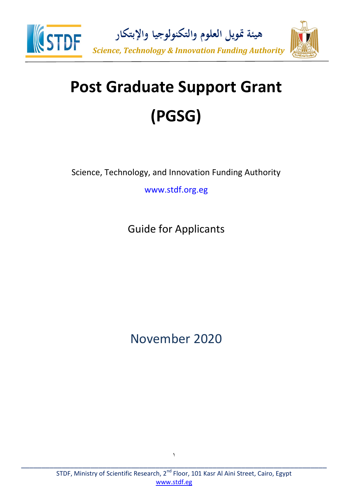

# **Post Graduate Support Grant (PGSG)**

Science, Technology, and Innovation Funding Authority

www.stdf.org.eg

Guide for Applicants

November 2020

1 \_\_\_\_\_\_\_\_\_\_\_\_\_\_\_\_\_\_\_\_\_\_\_\_\_\_\_\_\_\_\_\_\_\_\_\_\_\_\_\_\_\_\_\_\_\_\_\_\_\_\_\_\_\_\_\_\_\_\_\_\_\_\_\_\_\_\_\_\_\_\_\_\_\_\_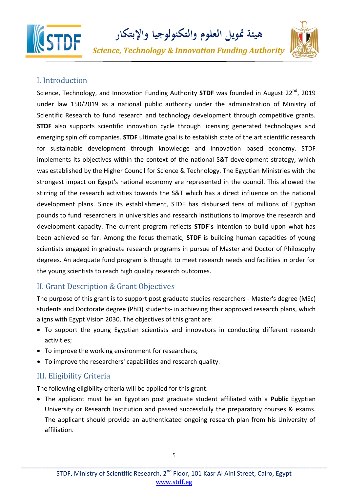

**هيئة متويل العلوم والتكنولوجيا واإلبتكار**

*Science, Technology & Innovation Funding Authority*



## I. Introduction

Science, Technology, and Innovation Funding Authority **STDF** was founded in August 22<sup>nd</sup>, 2019 under law 150/2019 as a national public authority under the administration of Ministry of Scientific Research to fund research and technology development through competitive grants. **STDF** also supports scientific innovation cycle through licensing generated technologies and emerging spin off companies. **STDF** ultimate goal is to establish state of the art scientific research for sustainable development through knowledge and innovation based economy. STDF implements its objectives within the context of the national S&T development strategy, which was established by the Higher Council for Science & Technology. The Egyptian Ministries with the strongest impact on Egypt's national economy are represented in the council. This allowed the stirring of the research activities towards the S&T which has a direct influence on the national development plans. Since its establishment, STDF has disbursed tens of millions of Egyptian pounds to fund researchers in universities and research institutions to improve the research and development capacity. The current program reflects **STDF`s** intention to build upon what has been achieved so far. Among the focus thematic, **STDF** is building human capacities of young scientists engaged in graduate research programs in pursue of Master and Doctor of Philosophy degrees. An adequate fund program is thought to meet research needs and facilities in order for the young scientists to reach high quality research outcomes.

## II. Grant Description & Grant Objectives

The purpose of this grant is to support post graduate studies researchers - Master's degree (MSc) students and Doctorate degree (PhD) students- in achieving their approved research plans, which aligns with Egypt Vision 2030. The objectives of this grant are:

- To support the young Egyptian scientists and innovators in conducting different research activities;
- To improve the working environment for researchers;
- To improve the researchers' capabilities and research quality.

## III. Eligibility Criteria

The following eligibility criteria will be applied for this grant:

 The applicant must be an Egyptian post graduate student affiliated with a **Public** Egyptian University or Research Institution and passed successfully the preparatory courses & exams. The applicant should provide an authenticated ongoing research plan from his University of affiliation.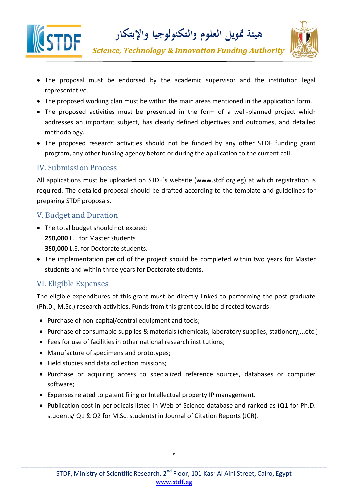



*Science, Technology & Innovation Funding Authority*

- The proposal must be endorsed by the academic supervisor and the institution legal representative.
- The proposed working plan must be within the main areas mentioned in the application form.
- The proposed activities must be presented in the form of a well-planned project which addresses an important subject, has clearly defined objectives and outcomes, and detailed methodology.
- The proposed research activities should not be funded by any other STDF funding grant program, any other funding agency before or during the application to the current call.

#### IV. Submission Process

All applications must be uploaded on STDF`s website (www.stdf.org.eg) at which registration is required. The detailed proposal should be drafted according to the template and guidelines for preparing STDF proposals.

#### V. Budget and Duration

- The total budget should not exceed: **250,000** L.E for Master students **350,000** L.E. for Doctorate students.
- The implementation period of the project should be completed within two years for Master students and within three years for Doctorate students.

## VI. Eligible Expenses

The eligible expenditures of this grant must be directly linked to performing the post graduate (Ph.D., M.Sc.) research activities. Funds from this grant could be directed towards:

- Purchase of non-capital/central equipment and tools;
- Purchase of consumable supplies & materials (chemicals, laboratory supplies, stationery,...etc.)
- Fees for use of facilities in other national research institutions;
- Manufacture of specimens and prototypes;
- Field studies and data collection missions;
- Purchase or acquiring access to specialized reference sources, databases or computer software;
- Expenses related to patent filing or Intellectual property IP management.
- Publication cost in periodicals listed in Web of Science database and ranked as (Q1 for Ph.D. students/ Q1 & Q2 for M.Sc. students) in Journal of Citation Reports (JCR).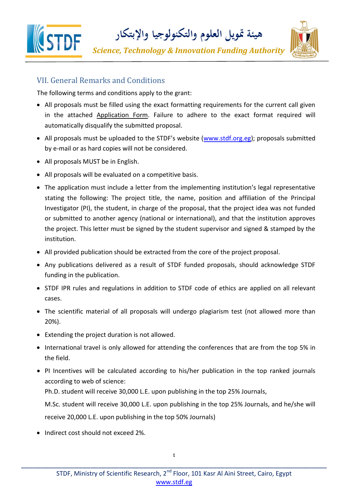

#### VII. General Remarks and Conditions

The following terms and conditions apply to the grant:

- All proposals must be filled using the exact formatting requirements for the current call given in the attached Application Form. Failure to adhere to the exact format required will automatically disqualify the submitted proposal.
- All proposals must be uploaded to the STDF's website ([www.stdf.org.eg\)](file:///C:/Users/Marwa/Downloads/www.stdf.org.eg); proposals submitted by e-mail or as hard copies will not be considered.
- All proposals MUST be in English.
- All proposals will be evaluated on a competitive basis.
- The application must include a letter from the implementing institution's legal representative stating the following: The project title, the name, position and affiliation of the Principal Investigator (PI), the student, in charge of the proposal, that the project idea was not funded or submitted to another agency (national or international), and that the institution approves the project. This letter must be signed by the student supervisor and signed & stamped by the institution.
- All provided publication should be extracted from the core of the project proposal.
- Any publications delivered as a result of STDF funded proposals, should acknowledge STDF funding in the publication.
- STDF IPR rules and regulations in addition to STDF code of ethics are applied on all relevant cases.
- The scientific material of all proposals will undergo plagiarism test (not allowed more than 20%).
- Extending the project duration is not allowed.
- International travel is only allowed for attending the conferences that are from the top 5% in the field.
- PI Incentives will be calculated according to his/her publication in the top ranked journals according to web of science:

Ph.D. student will receive 30,000 L.E. upon publishing in the top 25% Journals,

M.Sc. student will receive 30,000 L.E. upon publishing in the top 25% Journals, and he/she will receive 20,000 L.E. upon publishing in the top 50% Journals)

• Indirect cost should not exceed 2%.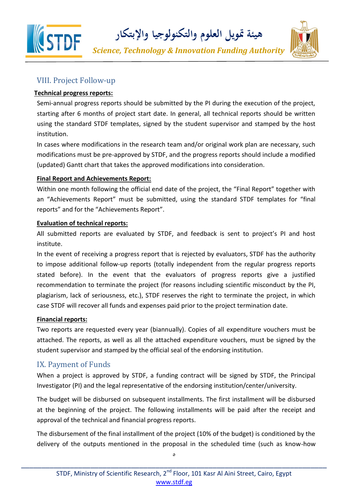

**هيئة متويل العلوم والتكنولوجيا واإلبتكار**

*Science, Technology & Innovation Funding Authority*



#### VIII. Project Follow-up

#### **Technical progress reports:**

Semi-annual progress reports should be submitted by the PI during the execution of the project, starting after 6 months of project start date. In general, all technical reports should be written using the standard STDF templates, signed by the student supervisor and stamped by the host institution.

In cases where modifications in the research team and/or original work plan are necessary, such modifications must be pre-approved by STDF, and the progress reports should include a modified (updated) Gantt chart that takes the approved modifications into consideration.

#### **Final Report and Achievements Report:**

Within one month following the official end date of the project, the "Final Report" together with an "Achievements Report" must be submitted, using the standard STDF templates for "final reports" and for the "Achievements Report".

#### **Evaluation of technical reports:**

All submitted reports are evaluated by STDF, and feedback is sent to project's PI and host institute.

In the event of receiving a progress report that is rejected by evaluators, STDF has the authority to impose additional follow-up reports (totally independent from the regular progress reports stated before). In the event that the evaluators of progress reports give a justified recommendation to terminate the project (for reasons including scientific misconduct by the PI, plagiarism, lack of seriousness, etc.), STDF reserves the right to terminate the project, in which case STDF will recover all funds and expenses paid prior to the project termination date.

#### **Financial reports:**

Two reports are requested every year (biannually). Copies of all expenditure vouchers must be attached. The reports, as well as all the attached expenditure vouchers, must be signed by the student supervisor and stamped by the official seal of the endorsing institution.

#### IX. Payment of Funds

When a project is approved by STDF, a funding contract will be signed by STDF, the Principal Investigator (PI) and the legal representative of the endorsing institution/center/university.

The budget will be disbursed on subsequent installments. The first installment will be disbursed at the beginning of the project. The following installments will be paid after the receipt and approval of the technical and financial progress reports.

The disbursement of the final installment of the project (10% of the budget) is conditioned by the delivery of the outputs mentioned in the proposal in the scheduled time (such as know-how

 $\mathbf{\hat{c}}$ \_\_\_\_\_\_\_\_\_\_\_\_\_\_\_\_\_\_\_\_\_\_\_\_\_\_\_\_\_\_\_\_\_\_\_\_\_\_\_\_\_\_\_\_\_\_\_\_\_\_\_\_\_\_\_\_\_\_\_\_\_\_\_\_\_\_\_\_\_\_\_\_\_\_\_